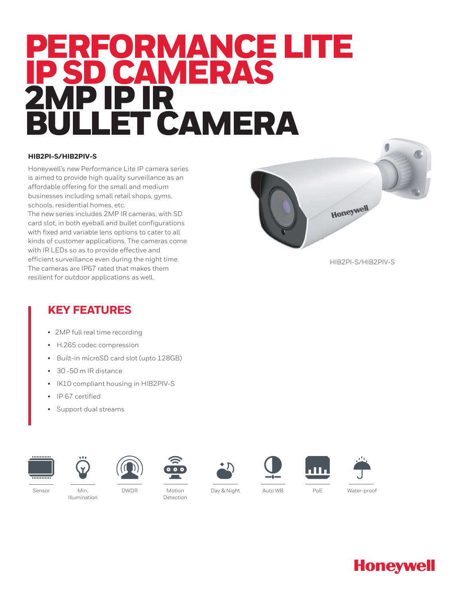# PERFORMANCE LITE IP SD CAMERAS 2MP IP IR LET CAMERA

#### **HIB2PI-S/HIB2PIV-S**

Honeywell's new Performance Lite IP camera series is aimed to provide high quality surveillance as an affordable offering for the small and medium businesses including small retail shops, gyms, schools, residential homes, etc.

The new series includes 2MP IR cameras, with SD card slot, in both eyeball and bullet configurations with fixed and variable lens options to cater to all kinds of customer applications. The cameras come with IR LEDs so as to provide effective and efficient surveillance even during the night time. The cameras are IP67 rated that makes them resilient for outdoor applications as well.



HIB2PI-S/HIB2PIV-S

## **KEY FEATURES**

- 2MP full real time recording
- H.265 codec compression
- Built-in microSD card slot (upto 128GB)
- 30 -50 m IR distance
- IK10 compliant housing in HIB2PIV-S
- IP 67 certified
- Support dual streams

















Illumination

Detection

DWDR Water-proof Motion Day & Night Sensor Min. Auto WB PoE



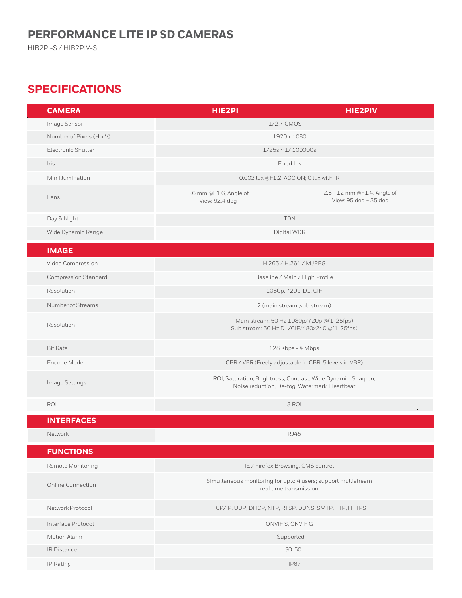## **PERFORMANCE LITE IP SD CAMERAS**

HIB2PI-S / HIB2PIV-S

# **SPECIFICATIONS**

| <b>CAMERA</b>               | <b>HIE2PI</b>                                                                                                  | <b>HIE2PIV</b>                                                                          |
|-----------------------------|----------------------------------------------------------------------------------------------------------------|-----------------------------------------------------------------------------------------|
| Image Sensor                | 1/2.7 CMOS                                                                                                     |                                                                                         |
| Number of Pixels (H x V)    | 1920 x 1080                                                                                                    |                                                                                         |
| Electronic Shutter          | $1/25s \sim 1/100000s$                                                                                         |                                                                                         |
| Iris                        | Fixed Iris                                                                                                     |                                                                                         |
| Min Illumination            | 0.002 lux @F1.2, AGC ON; 0 lux with IR                                                                         |                                                                                         |
| Lens                        | 3.6 mm @F1.6, Angle of<br>View: 92.4 deg                                                                       | 2.8 - 12 mm @F1.4, Angle of<br>View: 95 deg ~ 35 deg                                    |
| Day & Night                 | <b>TDN</b>                                                                                                     |                                                                                         |
| Wide Dynamic Range          | Digital WDR                                                                                                    |                                                                                         |
| <b>IMAGE</b>                |                                                                                                                |                                                                                         |
| Video Compression           | H.265 / H.264 / MJPEG                                                                                          |                                                                                         |
| <b>Compression Standard</b> | Baseline / Main / High Profile                                                                                 |                                                                                         |
| Resolution                  | 1080p, 720p, D1, CIF                                                                                           |                                                                                         |
| Number of Streams           | 2 (main stream , sub stream)                                                                                   |                                                                                         |
| Resolution                  | Main stream: 50 Hz 1080p/720p @(1-25fps)<br>Sub stream: 50 Hz D1/CIF/480x240 @(1-25fps)                        |                                                                                         |
| <b>Bit Rate</b>             | 128 Kbps - 4 Mbps                                                                                              |                                                                                         |
| Encode Mode                 | CBR / VBR (Freely adjustable in CBR, 5 levels in VBR)                                                          |                                                                                         |
| Image Settings              | ROI, Saturation, Brightness, Contrast, Wide Dynamic, Sharpen,<br>Noise reduction, De-fog, Watermark, Heartbeat |                                                                                         |
| ROI                         | 3 ROI                                                                                                          |                                                                                         |
| <b>INTERFACES</b>           |                                                                                                                |                                                                                         |
| Network                     | <b>RJ45</b>                                                                                                    |                                                                                         |
| <b>FUNCTIONS</b>            |                                                                                                                |                                                                                         |
| Remote Monitoring           |                                                                                                                | IE / Firefox Browsing, CMS control                                                      |
| <b>Online Connection</b>    |                                                                                                                | Simultaneous monitoring for upto 4 users; support multistream<br>real time transmission |
| Network Protocol            | TCP/IP, UDP, DHCP, NTP, RTSP, DDNS, SMTP, FTP, HTTPS                                                           |                                                                                         |
| Interface Protocol          | ONVIFS, ONVIFG                                                                                                 |                                                                                         |
| Motion Alarm                | Supported                                                                                                      |                                                                                         |
| IR Distance                 | $30 - 50$                                                                                                      |                                                                                         |
| IP Rating                   | <b>IP67</b>                                                                                                    |                                                                                         |